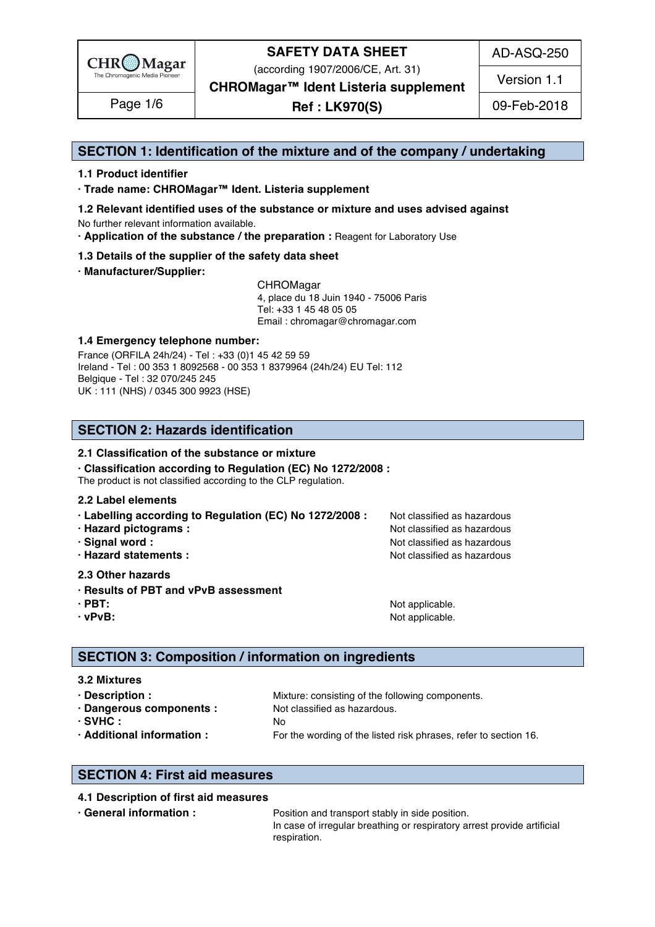

(according 1907/2006/CE, Art. 31)

AD-ASQ-250

Version 1.1

**CHROMagar™ Ident Listeria supplement**

**Ref : LK970(S)** Page 1/6 09-Feb-2018

## **SECTION 1: Identification of the mixture and of the company / undertaking** 1

### **1.1 Product identifier** 2

**· Trade name: CHROMagar™ Ident. Listeria supplement** 3

- **1.2 Relevant identified uses of the substance or mixture and uses advised against** 4 No further relevant information available. 5
- **· Application of the substance / the preparation :** Reagent for Laboratory Use 6

#### **1.3 Details of the supplier of the safety data sheet** 7

**· Manufacturer/Supplier:** 8

CHROMagar 9 4, place du 18 Juin 1940 - 75006 Paris 10 Tel: +33 1 45 48 05 05 11 Email : chromagar@chromagar.com 12

### **1.4 Emergency telephone number:**  $\blacksquare$  **1.4 Emergency telephone number:**

France (ORFILA 24h/24) - Tel: +33 (0)1 45 42 59 59 Ireland - Tel: 00 353 1 8092568 - 00 353 1 8379964 (24h/24) EU Tel: 112 Belgique - Tel : 32 070/245 245 16 UK : 111 (NHS) / 0345 300 9923 (HSE) 17

## **SECTION 2: Hazards identification** 20

#### **2.1 Classification of the substance or mixture** 21

**· Classification according to Regulation (EC) No 1272/2008 :** 22

The product is not classified according to the CLP regulation.

#### **2.2 Label elements** 24

- **· Labelling according to Regulation (EC) No 1272/2008 : Not classified as hazardous**
- 
- 
- 

#### **2.3 Other hazards** 29

- **· Results of PBT and vPvB assessment** 30
- 
- 

**· Hazard pictograms :** Not classified as hazardous 26 and 26 and 26 and 26 and 26 and 26 and 26 and 26 and 26 and 26 and 26 and 26 and 26 and 26 and 26 and 26 and 26 and 26 and 26 and 26 and 26 and 26 and 26 and 26 and 26 **· Signal word :** Not classified as hazardous 27 and 27 and 27 and 27 and 27 and 27 and 27 and 27 and 27 and 27 and 27 and 27 and 27 and 27 and 27 and 27 and 27 and 27 and 27 and 27 and 27 and 27 and 27 and 27 and 27 and 2 **· Hazard statements :** Not classified as hazardous 28 and 28 and 28 and 28 and 28 and 28 and 28 and 28 and 28 and 28 and 28 and 28 and 28 and 28 and 28 and 28 and 28 and 28 and 28 and 28 and 28 and 28 and 28 and 28 and 28

**· PBT:**  $\blacksquare$  **PBT:**  $\blacksquare$  **PBT:**  $\blacksquare$  **Not applicable.**  $\blacksquare$   $\blacksquare$   $\blacksquare$   $\blacksquare$   $\blacksquare$   $\blacksquare$   $\blacksquare$   $\blacksquare$   $\blacksquare$   $\blacksquare$   $\blacksquare$   $\blacksquare$   $\blacksquare$   $\blacksquare$   $\blacksquare$   $\blacksquare$   $\blacksquare$   $\blacksquare$   $\blacksquare$   $\blacksquare$   $\blacksquare$   $\blacksquare$   $\blacksquare$ **· vPvB:**  $\bullet$  **·**  $\bullet$  **122 ·**  $\bullet$  **122 ·**  $\bullet$  **·**  $\bullet$  **·**  $\bullet$  **·**  $\bullet$  **·**  $\bullet$  **·**  $\bullet$  **·**  $\bullet$  **·**  $\bullet$  **·**  $\bullet$  **·**  $\bullet$  **·**  $\bullet$  **·**  $\bullet$  **·**  $\bullet$  **·**  $\bullet$  **·**  $\bullet$  **·**  $\bullet$  **·**  $\bullet$  **·**  $\bullet$  **·**  $\bullet$  **·**  $\$ 

## **SECTION 3: Composition / information on ingredients**

#### **3.2 Mixtures** 36

**· Description : 1988** Mixture: consisting of the following components. **· Dangerous components :** Not classified as hazardous. 388 and 288 and 288 and 288 and 288 and 288 and 288 and 288 and 288 and 288 and 288 and 288 and 288 and 288 and 288 and 288 and 288 and 288 and 288 and 288 and 288 an **· SVHC :** No 39 **· Additional information :** For the wording of the listed risk phrases, refer to section 16. 40

## **SECTION 4: First aid measures** 43

#### **4.1 Description of first aid measures** 44

**• General information : Position and transport stably in side position.** 455 and the position of the position of the position of the position of the position of the position of the position of the position of the positi In case of irregular breathing or respiratory arrest provide artificial respiration. And the set of the set of the set of the set of the set of the set of the set of the set of the set of the set of the set of the set of the set of the set of the set of the set of the set of the set of the set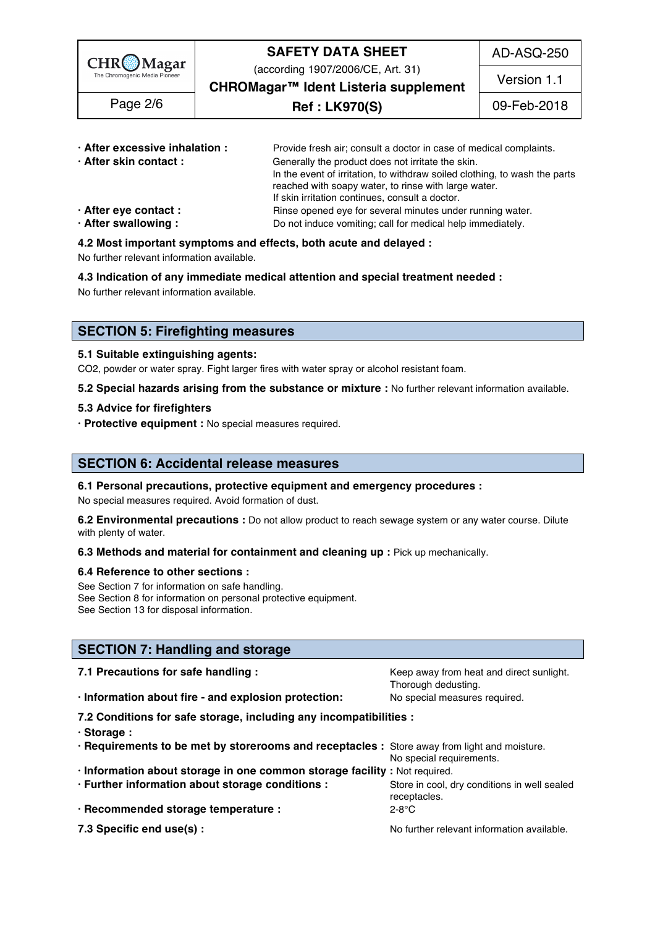

(according 1907/2006/CE, Art. 31)

AD-ASQ-250

Version 1.1

**CHROMagar™ Ident Listeria supplement**

**Ref : LK970(S)** Page 2/6 09-Feb-2018

| Provide fresh air; consult a doctor in case of medical complaints.         |                                                            |
|----------------------------------------------------------------------------|------------------------------------------------------------|
| Generally the product does not irritate the skin.                          |                                                            |
| In the event of irritation, to withdraw soiled clothing, to wash the parts |                                                            |
| reached with soapy water, to rinse with large water.                       |                                                            |
| If skin irritation continues, consult a doctor.                            |                                                            |
| Rinse opened eye for several minutes under running water.                  |                                                            |
|                                                                            |                                                            |
|                                                                            | Do not induce vomiting; call for medical help immediately. |

## **4.2 Most important symptoms and effects, both acute and delayed :** 55

No further relevant information available. 56

**4.3 Indication of any immediate medical attention and special treatment needed :** 57

No further relevant information available. Superstanding the state of the state of the state of the state of the state of the state of the state of the state of the state of the state of the state of the state of the state

## **SECTION 5: Firefighting measures**

#### **5.1 Suitable extinguishing agents:** 62

CO2, powder or water spray. Fight larger fires with water spray or alcohol resistant foam.

**5.2 Special hazards arising from the substance or mixture :** No further relevant information available. 64

#### **5.3 Advice for firefighters** 65

**· Protective equipment :** No special measures required. 66

## **SECTION 6: Accidental release measures**

#### **6.1 Personal precautions, protective equipment and emergency procedures :** 70

No special measures required. Avoid formation of dust.

**6.2 Environmental precautions** : Do not allow product to reach sewage system or any water course. Dilute with plenty of water. The contract of the contract of the contract of the contract of the contract of the contract of the contract of the contract of the contract of the contract of the contract of the contract of the cont

#### **6.3 Methods and material for containment and cleaning up : Pick up mechanically.**

#### **6.4 Reference to other sections :** 75

See Section 7 for information on safe handling. See Section 8 for information on personal protective equipment.<br>See Section 13 for disposal information. See Section 13 for disposal information. The section of the section of the section of the section of the section of the section of the section of the section of the section of the section of the section of the section of t

## **SECTION 7: Handling and storage**

| 7.1 Precautions for safe handling :                                                          | Keep away from heat and direct sunlight.<br>Thorough dedusting. |  |  |  |
|----------------------------------------------------------------------------------------------|-----------------------------------------------------------------|--|--|--|
| · Information about fire - and explosion protection:                                         | No special measures required.                                   |  |  |  |
| 7.2 Conditions for safe storage, including any incompatibilities :                           |                                                                 |  |  |  |
| $\cdot$ Storage :                                                                            |                                                                 |  |  |  |
| · Requirements to be met by storerooms and receptacles : Store away from light and moisture. |                                                                 |  |  |  |
|                                                                                              | No special requirements.                                        |  |  |  |
| · Information about storage in one common storage facility : Not required.                   |                                                                 |  |  |  |
| · Further information about storage conditions :                                             | Store in cool, dry conditions in well sealed                    |  |  |  |
|                                                                                              | receptacles.                                                    |  |  |  |
| · Recommended storage temperature :                                                          | 2-8°C                                                           |  |  |  |
| 7.3 Specific end use(s) :                                                                    | No further relevant information available.                      |  |  |  |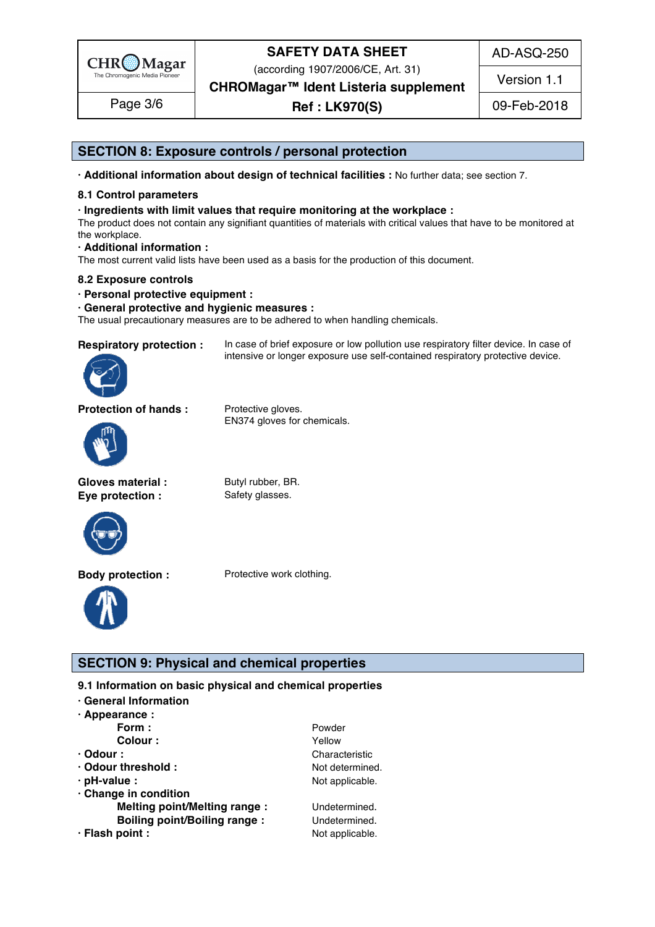

(according 1907/2006/CE, Art. 31)

**CHROMagar™ Ident Listeria supplement**

**Ref : LK970(S)** Page 3/6 09-Feb-2018

AD-ASQ-250

Version 1.1



**Body protection :** Protective work clothing.



**SECTION 9: Physical and chemical properties** 

**9.1 Information on basic physical and chemical properties** 

- **· General Information** 112
- **· Appearance :** 113

|                                     | Powder          |
|-------------------------------------|-----------------|
| Form :<br>Colour :                  | Yellow          |
| $\cdot$ Odour :                     | Characteristic  |
| · Odour threshold :                 | Not determined. |
| $\cdot$ pH-value :                  | Not applicable. |
| Change in condition                 |                 |
| <b>Melting point/Melting range:</b> | Undetermined.   |
| <b>Boiling point/Boiling range:</b> | Undetermined.   |
| · Flash point :                     | Not applicable. |
|                                     |                 |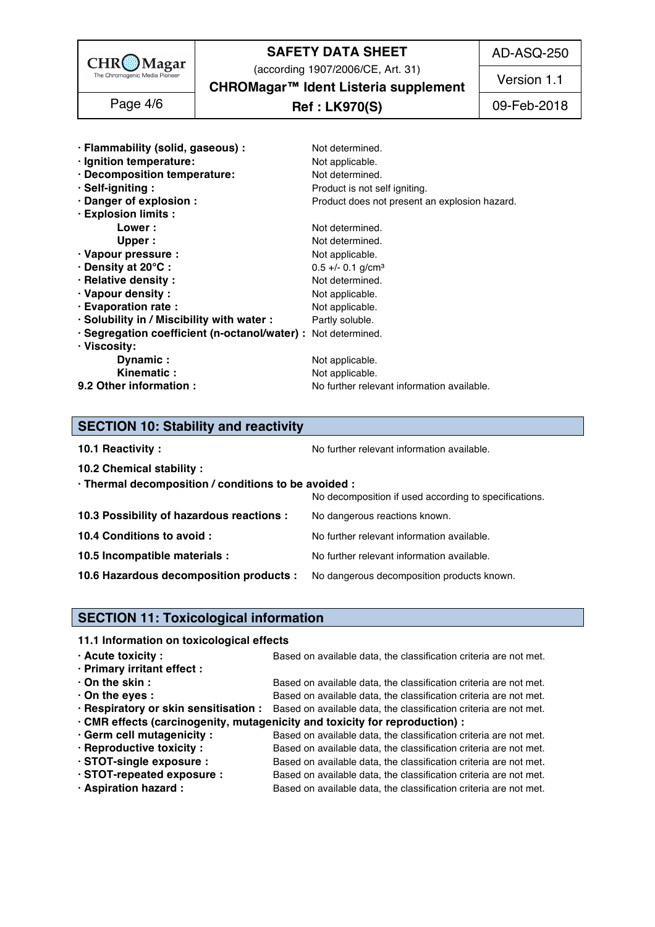

(according 1907/2006/CE, Art. 31)

AD-ASQ-250

Version 1.1

**CHROMagar™ Ident Listeria supplement**

**Ref : LK970(S)** Page 4/6 09-Feb-2018

| · Flammability (solid, gaseous) :                             | Not determined.                               |
|---------------------------------------------------------------|-----------------------------------------------|
| · Ignition temperature:                                       | Not applicable.                               |
| · Decomposition temperature:                                  | Not determined.                               |
| · Self-igniting:                                              | Product is not self igniting.                 |
| · Danger of explosion :                                       | Product does not present an explosion hazard. |
| · Explosion limits :                                          |                                               |
| Lower :                                                       | Not determined.                               |
| Upper:                                                        | Not determined.                               |
| · Vapour pressure :                                           | Not applicable.                               |
| · Density at 20°C:                                            | $0.5 +/- 0.1$ g/cm <sup>3</sup>               |
| · Relative density :                                          | Not determined.                               |
| · Vapour density:                                             | Not applicable.                               |
| · Evaporation rate :                                          | Not applicable.                               |
| · Solubility in / Miscibility with water :                    | Partly soluble.                               |
| · Segregation coefficient (n-octanol/water) : Not determined. |                                               |
| · Viscosity:                                                  |                                               |
| Dynamic:                                                      | Not applicable.                               |
| Kinematic:                                                    | Not applicable.                               |
| 9.2 Other information :                                       | No further relevant information available.    |

## **SECTION 10: Stability and reactivity**

|  | 10.1 Reactivity: |  |
|--|------------------|--|

Based on available data, the classification criteria are not met.

**10.1 Reactivity :** No further relevant information available. 155.1 and the set of the set of the Norther relevant information available.

| · Thermal decomposition / conditions to be avoided :                               |                                                       |
|------------------------------------------------------------------------------------|-------------------------------------------------------|
|                                                                                    | No decomposition if used according to specifications. |
| 10.3 Possibility of hazardous reactions :                                          | No dangerous reactions known.                         |
| 10.4 Conditions to avoid :                                                         | No further relevant information available.            |
| 10.5 Incompatible materials :                                                      | No further relevant information available.            |
| 10.6 Hazardous decomposition products : No dangerous decomposition products known. |                                                       |

## **SECTION 11: Toxicological information**

### **11.1 Information on toxicological effects**

| $\cdot$ Acute toxicity :    | Based on available data, the classification criteria are not met.                                       |
|-----------------------------|---------------------------------------------------------------------------------------------------------|
| · Primary irritant effect : |                                                                                                         |
| $\cdot$ On the skin :       | Based on available data, the classification criteria are not met.                                       |
| $\cdot$ On the eyes :       | Based on available data, the classification criteria are not met.                                       |
|                             | · Respiratory or skin sensitisation : Based on available data, the classification criteria are not met. |
|                             | · CMR effects (carcinogenity, mutagenicity and toxicity for reproduction) :                             |
| · Germ cell mutagenicity :  | Based on available data, the classification criteria are not met.                                       |
| · Reproductive toxicity :   | Based on available data, the classification criteria are not met.                                       |
| · STOT-single exposure :    | Based on available data, the classification criteria are not met.                                       |

**· STOT-repeated exposure :** Based on available data, the classification criteria are not met.<br>**· Aspiration hazard :** 1666 Based on available data, the classification criteria are not met.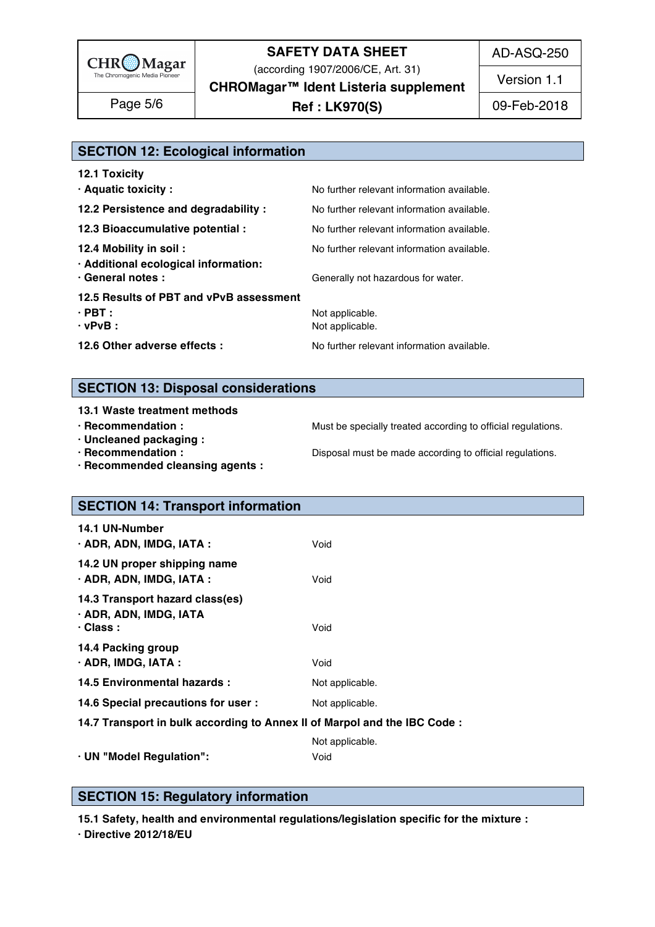

(according 1907/2006/CE, Art. 31)

AD-ASQ-250

Version 1.1

**CHROMagar™ Ident Listeria supplement**

**Ref : LK970(S)** Page 5/6 09-Feb-2018

| <b>SECTION 12: Ecological information</b> |
|-------------------------------------------|
|-------------------------------------------|

| <b>12.1 Toxicity</b>                                      |                                            |
|-----------------------------------------------------------|--------------------------------------------|
| · Aquatic toxicity :                                      | No further relevant information available. |
| 12.2 Persistence and degradability :                      | No further relevant information available. |
| 12.3 Bioaccumulative potential :                          | No further relevant information available. |
| 12.4 Mobility in soil :                                   | No further relevant information available. |
| · Additional ecological information:<br>· General notes : | Generally not hazardous for water.         |
| 12.5 Results of PBT and vPvB assessment                   |                                            |
| $\cdot$ PBT :                                             | Not applicable.                            |
| $\cdot$ vPvB :                                            | Not applicable.                            |
| 12.6 Other adverse effects :                              | No further relevant information available. |
|                                                           |                                            |

## **SECTION 13: Disposal considerations**

**13.1 Waste treatment methods in a set of the set of the set of the set of the set of the set of the set of the set of the set of the set of the set of the set of the set of the set of the set of the set of the set of the** 

- **· Recommendation : Must be specially treated according to official regulations.**
- 
- 

**· Uncleaned packaging :** 188

- **· Recommendation : Disposal must be made according to official regulations.**
- **· Recommended cleansing agents :** 190

| <b>SECTION 14: Transport information</b> |  |  |  |  |  |
|------------------------------------------|--|--|--|--|--|
|------------------------------------------|--|--|--|--|--|

| 14.1 UN-Number<br>$\cdot$ ADR, ADN, IMDG, IATA :                             | Void                    |
|------------------------------------------------------------------------------|-------------------------|
| 14.2 UN proper shipping name<br>· ADR, ADN, IMDG, IATA :                     | Void                    |
| 14.3 Transport hazard class(es)<br>· ADR, ADN, IMDG, IATA<br>$\cdot$ Class : | Void                    |
| 14.4 Packing group<br>$\cdot$ ADR, IMDG, IATA :                              | Void                    |
| 14.5 Environmental hazards :                                                 | Not applicable.         |
| 14.6 Special precautions for user :                                          | Not applicable.         |
| 14.7 Transport in bulk according to Annex II of Marpol and the IBC Code :    |                         |
| · UN "Model Regulation":                                                     | Not applicable.<br>Void |

# **SECTION 15: Regulatory information**

**15.1 Safety, health and environmental regulations/legislation specific for the mixture :** 211

**· Directive 2012/18/EU** 212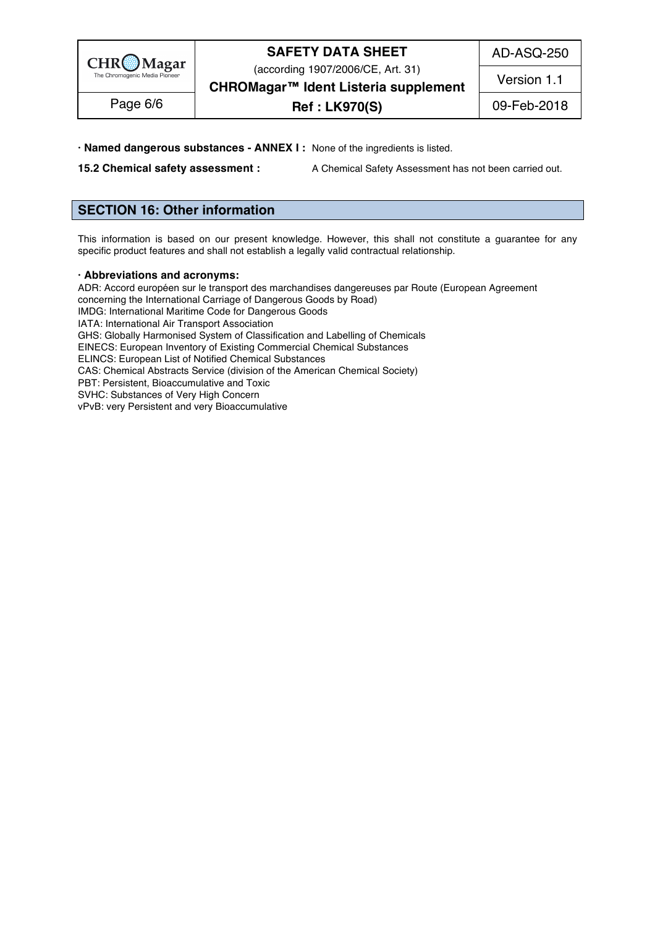

(according 1907/2006/CE, Art. 31)

AD-ASQ-250

Version 1.1

**CHROMagar™ Ident Listeria supplement**

**Ref : LK970(S)** Page 6/6 09-Feb-2018

**· Named dangerous substances - ANNEX I :** None of the ingredients is listed. 213

**15.2 Chemical safety assessment :** A Chemical Safety Assessment has not been carried out.

# **SECTION 16: Other information** 217

This information is based on our present knowledge. However, this shall not constitute a guarantee for any specific product features and shall not establish a legally valid contractual relationship.

#### **· Abbreviations and acronyms:** 222

ADR: Accord européen sur le transport des marchandises dangereuses par Route (European Agreement concerning the International Carriage of Dangerous Goods by Road) IMDG: International Maritime Code for Dangerous Goods IATA: International Air Transport Association GHS: Globally Harmonised System of Classification and Labelling of Chemicals EINECS: European Inventory of Existing Commercial Chemical Substances ELINCS: European List of Notified Chemical Substances CAS: Chemical Abstracts Service (division of the American Chemical Society) PBT: Persistent, Bioaccumulative and Toxic 2313 And 2313 And 2313 And 2313 And 2313 And 2313 And 2313 And 2313 SVHC: Substances of Very High Concern 232 vPvB: very Persistent and very Bioaccumulative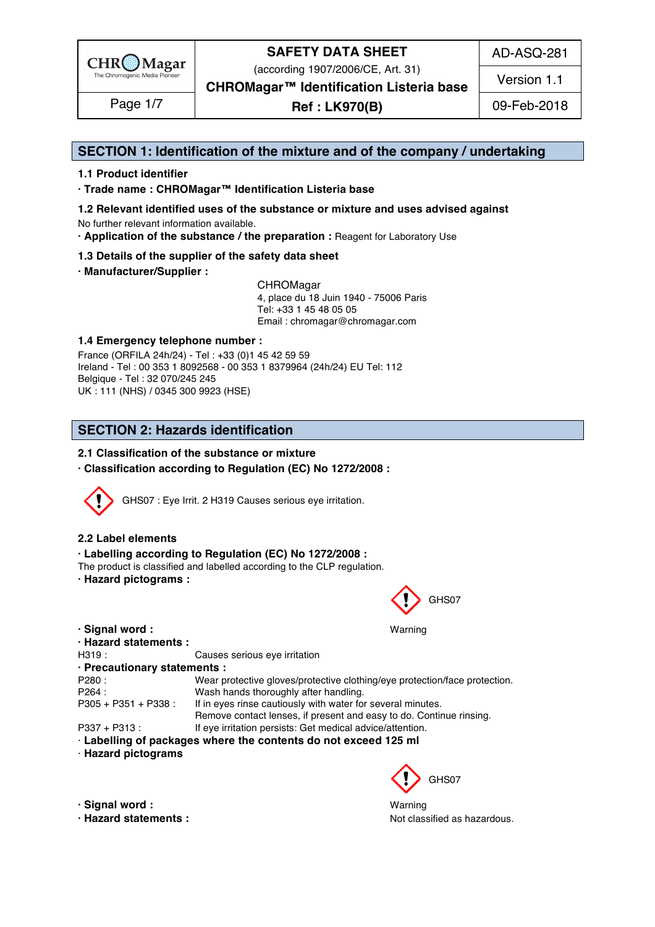

(according 1907/2006/CE, Art. 31)

AD-ASQ-281

Version 1.1

**CHROMagar™ Identification Listeria base**

**Ref : LK970(B)** Page 1/7 09-Feb-2018

## **SECTION 1: Identification of the mixture and of the company / undertaking** 1

#### **1.1 Product identifier** 2

**· Trade name : CHROMagar™ Identification Listeria base** 3

- **1.2 Relevant identified uses of the substance or mixture and uses advised against** 4 No further relevant information available. 5
- **· Application of the substance / the preparation :** Reagent for Laboratory Use 6

#### **1.3 Details of the supplier of the safety data sheet** 7

**· Manufacturer/Supplier :** 8

CHROMagar 9 4, place du 18 Juin 1940 - 75006 Paris 10 Tel: +33 1 45 48 05 05 11 Email : chromagar@chromagar.com 12

## **1.4 Emergency telephone number :** 13

France (ORFILA 24h/24) - Tel: +33 (0)1 45 42 59 59 Ireland - Tel: 00 353 1 8092568 - 00 353 1 8379964 (24h/24) EU Tel: 112 Belgique - Tel : 32 070/245 245 16 UK : 111 (NHS) / 0345 300 9923 (HSE) 17

## **SECTION 2: Hazards identification**

#### **2.1 Classification of the substance or mixture**

**· Classification according to Regulation (EC) No 1272/2008 :** 22



#### **2.2 Label elements** 26

#### **· Labelling according to Regulation (EC) No 1272/2008 :** 27

The product is classified and labelled according to the CLP regulation. **· Hazard pictograms :** 29



| · Signal word :              | Warning                                                                    |  |  |
|------------------------------|----------------------------------------------------------------------------|--|--|
| · Hazard statements :        |                                                                            |  |  |
| H319:                        | Causes serious eye irritation                                              |  |  |
| · Precautionary statements : |                                                                            |  |  |
| P280:                        | Wear protective gloves/protective clothing/eye protection/face protection. |  |  |
| P264:                        | Wash hands thoroughly after handling.                                      |  |  |
| $P305 + P351 + P338$ :       | If in eyes rinse cautiously with water for several minutes.                |  |  |
|                              | Remove contact lenses, if present and easy to do. Continue rinsing.        |  |  |
| P337 + P313:                 | If eye irritation persists: Get medical advice/attention.                  |  |  |
|                              | · Labelling of packages where the contents do not exceed 125 ml            |  |  |
| · Hazard pictograms          |                                                                            |  |  |
|                              |                                                                            |  |  |



**· Hazard statements :**  $\qquad \qquad \text{Not classified as hazardous.}$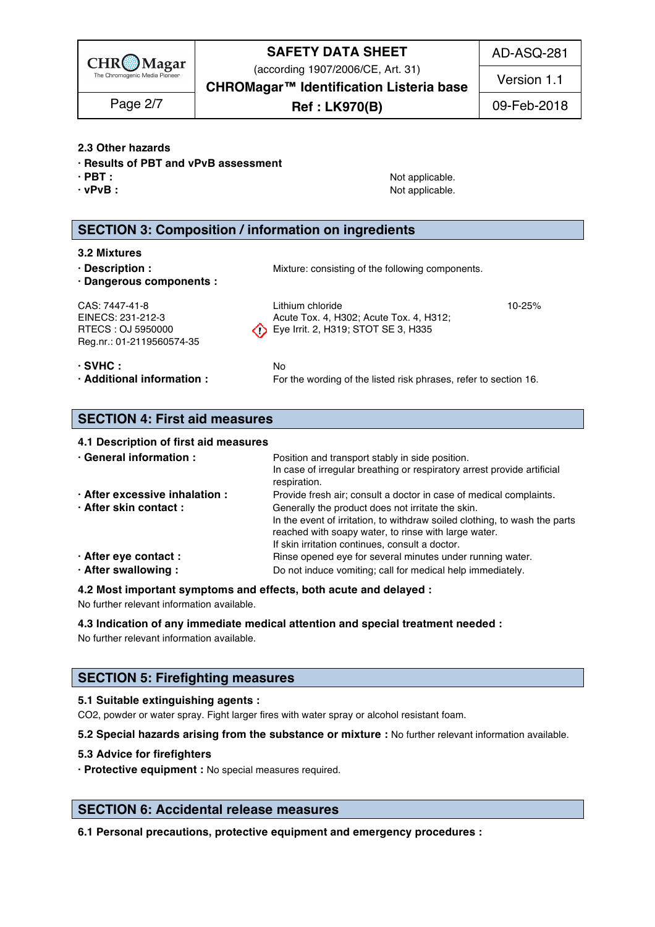

(according 1907/2006/CE, Art. 31)

AD-ASQ-281

**CHROMagar™ Identification Listeria base** Version 1.1

**Ref : LK970(B)** Page 2/7 09-Feb-2018

## **2.3 Other hazards** 50

- **· Results of PBT and vPvB assessment** 51
- 
- 

**· PBT : a** set of the set of the set of the set of the set of the set of the set of the set of the set of the set of the set of the set of the set of the set of the set of the set of the set of the set of the set of t **· vPvB :** Not applicable. 53

## **SECTION 3: Composition / information on ingredients** 56

#### **3.2 Mixtures** for a state of the state of the state of the state of the state of the state of the state of the state of the state of the state of the state of the state of the state of the state of the state of the state

**· Dangerous components :** 59

Reg.nr.: 01-2119560574-35 64

**· Description : Mixture: consisting of the following components.** 

 $\text{CAS: } 7447\text{-}41\text{-}8$  and  $\text{Lithium chloride}$  chloride 10-25% for  $\text{Lithium}$ EINECS: 231-212-3 Acute Tox. 4, H302; Acute Tox. 4, H312; 62 RTECS : OJ 5950000 **Example 20 COVER 1999 COVERTS 2**, H319; STOT SE 3, H335

**· SVHC :** No 66 **· Additional information :** For the wording of the listed risk phrases, refer to section 16.

## **SECTION 4: First aid measures** 70

| 4.1 Description of first aid measures |                                                                                                                                                                                                                                            |
|---------------------------------------|--------------------------------------------------------------------------------------------------------------------------------------------------------------------------------------------------------------------------------------------|
| · General information :               | Position and transport stably in side position.<br>In case of irregular breathing or respiratory arrest provide artificial<br>respiration.                                                                                                 |
| · After excessive inhalation :        | Provide fresh air; consult a doctor in case of medical complaints.                                                                                                                                                                         |
| · After skin contact :                | Generally the product does not irritate the skin.<br>In the event of irritation, to withdraw soiled clothing, to wash the parts<br>reached with soapy water, to rinse with large water.<br>If skin irritation continues, consult a doctor. |
| · After eye contact :                 | Rinse opened eye for several minutes under running water.                                                                                                                                                                                  |
| · After swallowing:                   | Do not induce vomiting; call for medical help immediately.                                                                                                                                                                                 |

#### **4.2 Most important symptoms and effects, both acute and delayed :** 82

No further relevant information available. **833 The State of the State of the State of the State of The State of T** 

#### **4.3 Indication of any immediate medical attention and special treatment needed :** 84

No further relevant information available. 85

## **SECTION 5: Firefighting measures**

#### **5.1 Suitable extinguishing agents :** 89

CO2, powder or water spray. Fight larger fires with water spray or alcohol resistant foam.

**5.2 Special hazards arising from the substance or mixture :** No further relevant information available. 91

#### **5.3 Advice for firefighters** 92

**· Protective equipment :** No special measures required. 93

## **SECTION 6: Accidental release measures**

**6.1 Personal precautions, protective equipment and emergency procedures :** 97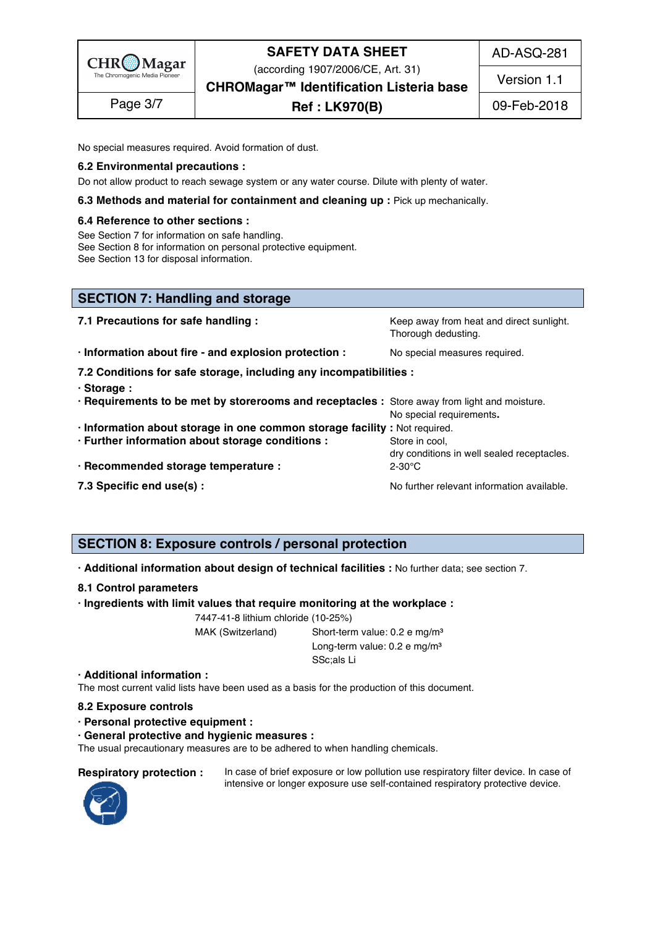

(according 1907/2006/CE, Art. 31)

AD-ASQ-281

**CHROMagar™ Identification Listeria base**

Version 1.1

# **Ref : LK970(B)** Page 3/7 09-Feb-2018

No special measures required. Avoid formation of dust.

#### **6.2 Environmental precautions :** 99

Do not allow product to reach sewage system or any water course. Dilute with plenty of water.

## **6.3 Methods and material for containment and cleaning up : Pick up mechanically.**

### **6.4 Reference to other sections :** 102

See Section 7 for information on safe handling. 103 and 103 and 103 and 103 and 103 and 103 and 103 and 103 and 103 and 103 and 103 and 103 and 103 and 103 and 103 and 103 and 103 and 103 and 103 and 103 and 103 and 103 an See Section 8 for information on personal protective equipment. See Section 13 for disposal information. 105 and 205 for the set of the section of the section 13 for disposal information.

## **SECTION 7: Handling and storage**

| 7.1 Precautions for safe handling :                                                          | Keep away from heat and direct sunlight.<br>Thorough dedusting. |
|----------------------------------------------------------------------------------------------|-----------------------------------------------------------------|
| · Information about fire - and explosion protection :                                        | No special measures required.                                   |
| 7.2 Conditions for safe storage, including any incompatibilities :                           |                                                                 |
| · Storage:                                                                                   |                                                                 |
| · Requirements to be met by storerooms and receptacles : Store away from light and moisture. |                                                                 |
|                                                                                              | No special requirements.                                        |
| · Information about storage in one common storage facility : Not required.                   |                                                                 |
| · Further information about storage conditions :                                             | Store in cool,<br>dry conditions in well sealed receptacles.    |
| · Recommended storage temperature :                                                          | 2-30°C                                                          |
| 7.3 Specific end use(s) :                                                                    | No further relevant information available.                      |

# **SECTION 8: Exposure controls / personal protection**

**· Additional information about design of technical facilities :** No further data; see section 7. 125

#### **8.1 Control parameters** 126

**· Ingredients with limit values that require monitoring at the workplace :** 127

7447-41-8 lithium chloride (10-25%) 128

MAK (Switzerland) Short-term value: 0.2 e mg/m $^3$ Long-term value: 0.2 e mg/m³ 130 SSc;als Lie is a state of the state of the state of the state of the state of the state of the state of the state of the state of the state of the state of the state of the state of the state of the state of the state of t

### **· Additional information :** 132

The most current valid lists have been used as a basis for the production of this document.

#### **8.2 Exposure controls** 134

**· Personal protective equipment :** 135

#### **· General protective and hygienic measures :** 136

The usual precautionary measures are to be adhered to when handling chemicals.

**Respiratory protection :** In case of brief exposure or low pollution use respiratory filter device. In case of intensive or longer exposure use self-contained respiratory protective device.

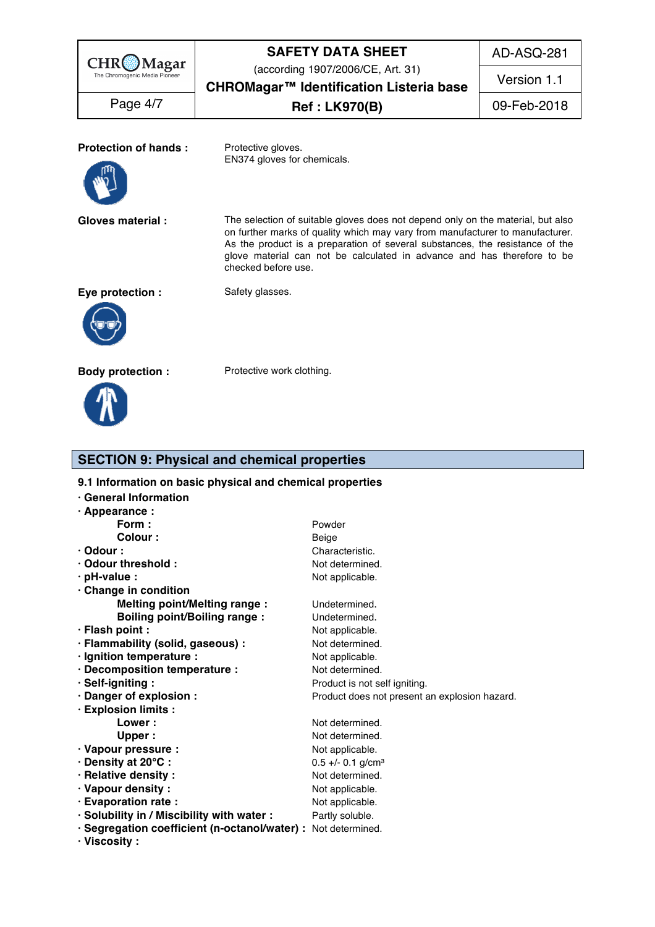| <b>CHR</b><br>Magar           | <b>SAFETY DATA SHEET</b>                                                                                                                                                                                                                                                                                                    | <b>AD-ASQ-281</b> |  |
|-------------------------------|-----------------------------------------------------------------------------------------------------------------------------------------------------------------------------------------------------------------------------------------------------------------------------------------------------------------------------|-------------------|--|
| The Chromogenic Media Pioneer | (according 1907/2006/CE, Art. 31)<br>CHROMagar™ Identification Listeria base<br><b>Ref : LK970(B)</b>                                                                                                                                                                                                                       | Version 1.1       |  |
| Page 4/7                      |                                                                                                                                                                                                                                                                                                                             | 09-Feb-2018       |  |
| <b>Protection of hands:</b>   | Protective gloves.<br>EN374 gloves for chemicals.                                                                                                                                                                                                                                                                           |                   |  |
| <b>Gloves material:</b>       | The selection of suitable gloves does not depend only on the material, but also<br>on further marks of quality which may vary from manufacturer to manufacturer.<br>As the product is a preparation of several substances, the resistance of the<br>glove material can not be calculated in advance and has therefore to be |                   |  |

glove material can not be calculated in advance and has therefore to be checked before use.

**Eye protection :** Safety glasses.





**Body protection :** Protective work clothing.

## **SECTION 9: Physical and chemical properties**

**9.1 Information on basic physical and chemical properties · General Information** 143 **· Appearance :** 144 **Form : Powder 145 Powder 145 Powder** 145 Powder 145 Powder 145 Powder 145 Powder 145 Powder 145 Powder 145 Powder 145 Powder 145 Powder 145 Powder 145 Powder 145 Powder 145 Powder 145 Powder 145 Powder 145 Powder 145 **Colour :** Beige 146 **· Odour :** The contracteristic of the characteristic. **· Odour threshold :**  $\qquad \qquad \text{Not determined.}$ **· pH-value :** Not applicable. 149 **· Change in condition** 150 **Melting point/Melting range :** Undetermined. 151 **Boiling point/Boiling range :** Undetermined. 152 **· Flash point :** Not applicable. 153 **· Flammability (solid, gaseous) :** Not determined. 154 **· Ignition temperature :**  $\qquad \qquad$  Not applicable. 1555 and 1555 and 1555 and 1555 and 1555 and 1555 and 1555 and 1555 and 1555 and 1555 and 1555 and 1555 and 1555 and 1555 and 1555 and 1555 and 1555 and 1555 and 1555 and **· Decomposition temperature :** Not determined. 156 **· Self-igniting : 1578 1579 1579 1579 1579 1579 1579 1579 1579 1579 1579 1579 1579 1579 1579 1579 1579 1579 1579 1579 1579 1579 1579 1579 1579 1579 1579 1579 1579 · Danger of explosion :** Product does not present an explosion hazard.<br> **Explosion limits : · Explosion limits :** 159 **Lower:**  $\bullet$  **Not determined.** 1600 **CONFIDENT Not determined.** 1600 **CONFIDENT Not determined. Upper :** Not determined. 161 **· Vapour pressure :**  $\qquad \qquad \text{Not applicable.}$ **· Density at 20°C :** 0.5 +/- 0.1 g/cm<sup>3</sup> 163 +/- 0.1 g/cm<sup>3</sup> **· Relative density :**  1644 **CONSTRANGER INCORDING TO A RELATION CONSTRANGER IN A RELATION OF STATE STATES IN A RELATION OF STATES IN A RELATION OF STATES IN A RELATION OF STATES IN A RELATION OF STATES IN A RELATION OF S · Vapour density :**  $\qquad \qquad \text{Not applicable.}$ **· Evaporation rate :**  $\qquad \qquad \text{Not applicable.}$ **· Solubility in / Miscibility with water :** Partly soluble. 167 **· Segregation coefficient (n-octanol/water) :** Not determined. 168 **· Viscosity :** 169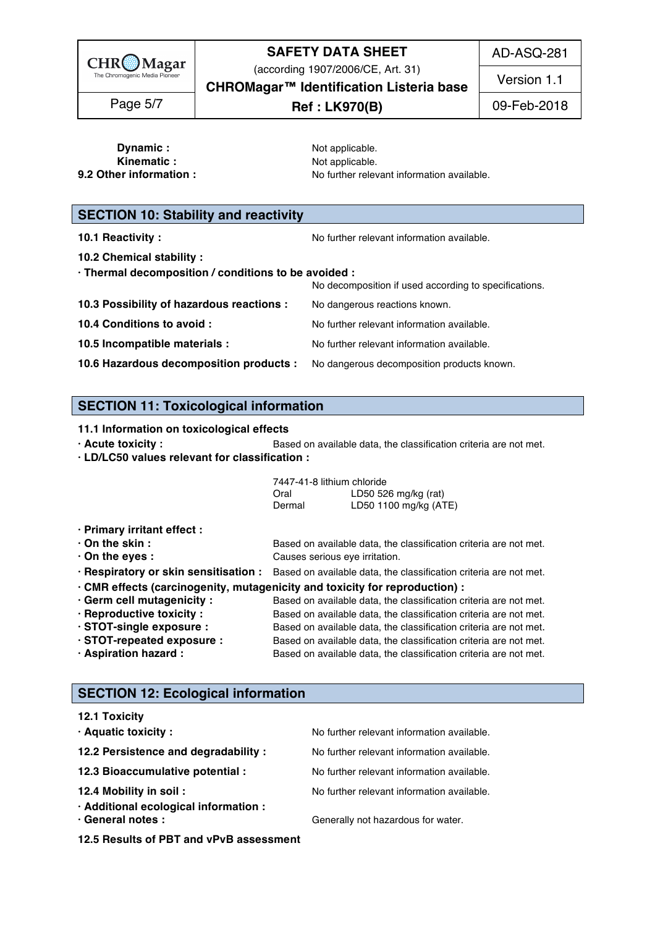

(according 1907/2006/CE, Art. 31)

AD-ASQ-281

Version 1.1

**CHROMagar™ Identification Listeria base**

# **Ref : LK970(B)** Page 5/7 09-Feb-2018

**Dynamic :** The contract of the contract of the contract of the contract of the contract of the contract of the contract of the contract of the contract of the contract of the contract of the contract of the contract of **Kinematic :** The contract of the Motor Motor applicable. The contract of the contract of the contract of the contract of the contract of the contract of the contract of the contract of the contract of the contract of the **9.2 Other information : No further relevant information available.** 1722 and 1722

## **SECTION 10: Stability and reactivity**

**10.1 Reactivity :** No further relevant information available. 176.1 Reactivity :

| 10.2 Chemical stability                              |  |
|------------------------------------------------------|--|
| · Thermal decomposition / conditions to be avoided : |  |

|                                                                                    | No decomposition if used according to specifications. |
|------------------------------------------------------------------------------------|-------------------------------------------------------|
| 10.3 Possibility of hazardous reactions :                                          | No dangerous reactions known.                         |
| 10.4 Conditions to avoid :                                                         | No further relevant information available.            |
| 10.5 Incompatible materials :                                                      | No further relevant information available.            |
| 10.6 Hazardous decomposition products : No dangerous decomposition products known. |                                                       |

# **SECTION 11: Toxicological information**

**11.1 Information on toxicological effects** 

**· Acute toxicity :** Based on available data, the classification criteria are not met.

**· LD/LC50 values relevant for classification :** 189

|                                 | 7447-41-8 lithium chloride                                                                             |
|---------------------------------|--------------------------------------------------------------------------------------------------------|
|                                 | LD50 526 mg/kg (rat)<br>Oral                                                                           |
|                                 | LD50 1100 mg/kg (ATE)<br>Dermal                                                                        |
| · Primary irritant effect :     |                                                                                                        |
| $\cdot$ On the skin :           | Based on available data, the classification criteria are not met.                                      |
| $\cdot$ On the eyes :           | Causes serious eye irritation.                                                                         |
|                                 | · Respiratory or skin sensitisation: Based on available data, the classification criteria are not met. |
|                                 | CMR effects (carcinogenity, mutagenicity and toxicity for reproduction) :                              |
| Germ cell mutagenicity:         | Based on available data, the classification criteria are not met.                                      |
| $\cdot$ Reproductive toxicity : | Based on available data, the classification criteria are not met.                                      |
| · STOT-single exposure :        | Based on available data, the classification criteria are not met.                                      |
| STOT-repeated exposure :        | Based on available data, the classification criteria are not met.                                      |
| · Aspiration hazard :           | Based on available data, the classification criteria are not met.                                      |
|                                 |                                                                                                        |

## **SECTION 12: Ecological information**

| <b>12.1 Toxicity</b>                                       |                                            |
|------------------------------------------------------------|--------------------------------------------|
| · Aquatic toxicity :                                       | No further relevant information available. |
| 12.2 Persistence and degradability :                       | No further relevant information available. |
| 12.3 Bioaccumulative potential :                           | No further relevant information available. |
| 12.4 Mobility in soil :                                    | No further relevant information available. |
| · Additional ecological information :<br>· General notes : | Generally not hazardous for water.         |
|                                                            |                                            |

**12.5 Results of PBT and vPvB assessment**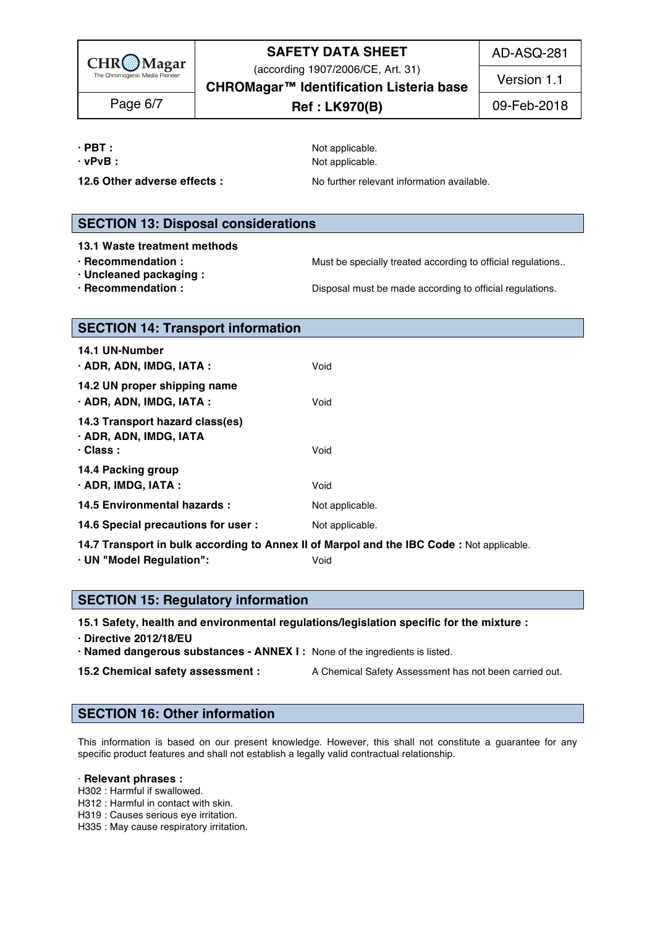

(according 1907/2006/CE, Art. 31)

AD-ASQ-281

Version 1.1

**CHROMagar™ Identification Listeria base**

**Ref : LK970(B)** Page 6/7 09-Feb-2018

**· PBT :** Not applicable. 216

**· vPvB :** 2177 **COVERSUARY EXAMPLE 2178 POINT AND RESPONSIVE ASSAULT ASSAULT ASSAULT ASSAULT ASSAULT ASSAULT ASSAULT ASSAULT ASSAULT ASSAULT ASSAULT ASSAULT ASSAULT ASSAULT ASSAULT ASSAULT ASSAULT ASSAULT ASSAULT ASSAUL** 

**12.6 Other adverse effects :** No further relevant information available.

## **SECTION 13: Disposal considerations**

- **13.1 Waste treatment methods** 222
- 
- **· Uncleaned packaging :** 224
- 

**· Recommendation : Must be specially treated according to official regulations..** 

**· Recommendation : Disposal must be made according to official regulations.** 

## **SECTION 14: Transport information**

| 14.1 UN-Number<br>· ADR, ADN, IMDG, IATA :                                               | Void            |  |  |  |  |
|------------------------------------------------------------------------------------------|-----------------|--|--|--|--|
| 14.2 UN proper shipping name<br>· ADR, ADN, IMDG, IATA :                                 | Void            |  |  |  |  |
| 14.3 Transport hazard class(es)<br>· ADR, ADN, IMDG, IATA<br>$\cdot$ Class :             | Void            |  |  |  |  |
| 14.4 Packing group                                                                       |                 |  |  |  |  |
| · ADR, IMDG, IATA:                                                                       | Void            |  |  |  |  |
| 14.5 Environmental hazards :                                                             | Not applicable. |  |  |  |  |
| 14.6 Special precautions for user :                                                      | Not applicable. |  |  |  |  |
| 14.7 Transport in bulk according to Annex II of Marpol and the IBC Code: Not applicable. |                 |  |  |  |  |

**· UN "Model Regulation":** Void 241

## **SECTION 15: Regulatory information**

**15.1 Safety, health and environmental regulations/legislation specific for the mixture :** 245

- **· Directive 2012/18/EU** 246
- **· Named dangerous substances - ANNEX I :** None of the ingredients is listed. 247
- **15.2 Chemical safety assessment :** A Chemical Safety Assessment has not been carried out.

## **SECTION 16: Other information** 251

This information is based on our present knowledge. However, this shall not constitute a guarantee for any specific product features and shall not establish a legally valid contractual relationship.

#### · **Relevant phrases :** 256

H302 : Harmful if swallowed. 2577 and 2577 and 2577 and 2577 and 2577 and 2577 and 2577 and 2577 and 2577 and 2577 and 2577 and 2577 and 2577 and 2577 and 2577 and 2577 and 2577 and 2577 and 2577 and 2577 and 2577 and 2577

H312 : Harmful in contact with skin. 2588 and 2588 and 2588 and 2588 and 2588 and 2588 and 2588 and 2588 and 25

H319 : Causes serious eye irritation. 259 persons and the series of the series of the series of the series of the series of the series of the series of the series of the series of the series of the series of the series of

H335 : May cause respiratory irritation. 2002 2003 2004 2004 2005 2006 2007 2008 2009 2009 2009 2009 2009 2009